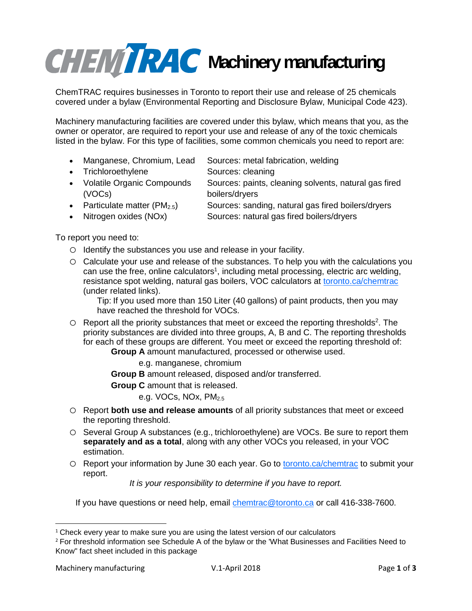## **CHEMTRAC** Machinery manufacturing

ChemTRAC requires businesses in Toronto to report their use and release of 25 chemicals covered under a bylaw (Environmental Reporting and Disclosure Bylaw, Municipal Code 423).

Machinery manufacturing facilities are covered under this bylaw, which means that you, as the owner or operator, are required to report your use and release of any of the toxic chemicals listed in the bylaw. For this type of facilities, some common chemicals you need to report are:

- Manganese, Chromium, Lead Sources: metal fabrication, welding
- Trichloroethylene Sources: cleaning
- 
- Volatile Organic Compounds (VOCs)
- boilers/dryers • Particulate matter  $(PM_{2.5})$  Sources: sanding, natural gas fired boilers/dryers

Sources: paints, cleaning solvents, natural gas fired

- Nitrogen oxides (NOx) Sources: natural gas fired boilers/dryers
	-

To report you need to:

- o Identify the substances you use and release in your facility.
- o Calculate your use and release of the substances. To help you with the calculations you can use the free, online calculators<sup>1</sup>, including metal processing, electric arc welding, resistance spot welding, natural gas boilers, VOC calculators at toronto.ca/chemtrac (under related links).

Tip: If you used more than 150 Liter (40 gallons) of paint products, then you may have reached the threshold for VOCs.

O Report all the priority substances that meet or exceed the reporting thresholds<sup>2</sup>. The priority substances are divided into three groups, A, B and C. The reporting thresholds for each of these groups are different. You meet or exceed the reporting threshold of:

**Group A** amount manufactured, processed or otherwise used.

e.g. manganese, chromium

**Group B** amount released, disposed and/or transferred.

**Group C** amount that is released.

e.g. VOCs, NOx, PM<sub>2.5</sub>

- o Report **both use and release amounts** of all priority substances that meet or exceed the reporting threshold.
- o Several Group A substances (e.g., trichloroethylene) are VOCs. Be sure to report them **separately and as a total**, along with any other VOCs you released, in your VOC estimation.
- o Report your information by June 30 each year. Go to toronto.ca/chemtrac to submit your report.

*It is your responsibility to determine if you have to report.*

If you have questions or need help, email chemtrac@toronto.ca or call 416-338-7600.

 $\overline{\phantom{a}}$ 

<sup>&</sup>lt;sup>1</sup> Check every year to make sure you are using the latest version of our calculators

<sup>&</sup>lt;sup>2</sup> For threshold information see Schedule A of the bylaw or the 'What Businesses and Facilities Need to Know" fact sheet included in this package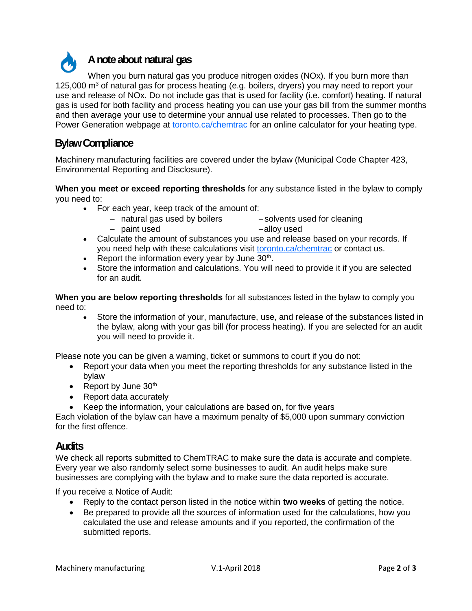

When you burn natural gas you produce nitrogen oxides (NOx). If you burn more than 125,000  $\text{m}^3$  of natural gas for process heating (e.g. boilers, dryers) you may need to report your use and release of NOx. Do not include gas that is used for facility (i.e. comfort) heating. If natural gas is used for both facility and process heating you can use your gas bill from the summer months and then average your use to determine your annual use related to processes. Then go to the Power Generation webpage at toronto.ca/chemtrac for an online calculator for your heating type.

## **Bylaw Compliance**

Machinery manufacturing facilities are covered under the bylaw (Municipal Code Chapter 423, Environmental Reporting and Disclosure).

**When you meet or exceed reporting thresholds** for any substance listed in the bylaw to comply you need to:

- For each year, keep track of the amount of:
	- natural gas used by boilers - paint used -solvents used for cleaning alloy used
- Calculate the amount of substances you use and release based on your records. If you need help with these calculations visit toronto.ca/chemtrac or contact us.
- Report the information every year by June  $30<sup>th</sup>$ .
- Store the information and calculations. You will need to provide it if you are selected for an audit.

**When you are below reporting thresholds** for all substances listed in the bylaw to comply you need to:

 Store the information of your, manufacture, use, and release of the substances listed in the bylaw, along with your gas bill (for process heating). If you are selected for an audit you will need to provide it.

Please note you can be given a warning, ticket or summons to court if you do not:

- Report your data when you meet the reporting thresholds for any substance listed in the bylaw
- Report by June  $30<sup>th</sup>$
- Report data accurately
- Keep the information, your calculations are based on, for five years

Each violation of the bylaw can have a maximum penalty of \$5,000 upon summary conviction for the first offence.

## **Audits**

We check all reports submitted to ChemTRAC to make sure the data is accurate and complete. Every year we also randomly select some businesses to audit. An audit helps make sure businesses are complying with the bylaw and to make sure the data reported is accurate.

If you receive a Notice of Audit:

- Reply to the contact person listed in the notice within **two weeks** of getting the notice.
- Be prepared to provide all the sources of information used for the calculations, how you calculated the use and release amounts and if you reported, the confirmation of the submitted reports.